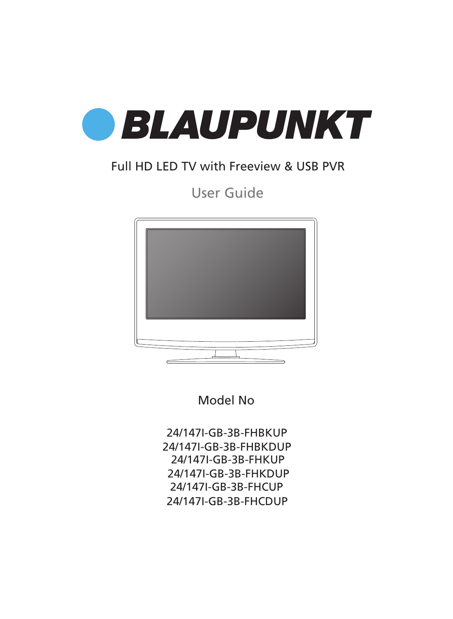

### Full HD LED TV with Freeview & USB PVR

User Guide



Model No

24/147I-GB-3B-FHBKUP 24/147I-GB-3B-FHBKDUP 24/147I-GB-3B-FHKUP 24/147I-GB-3B-FHKDUP 24/147I-GB-3B-FHCUP 24/147I-GB-3B-FHCDUP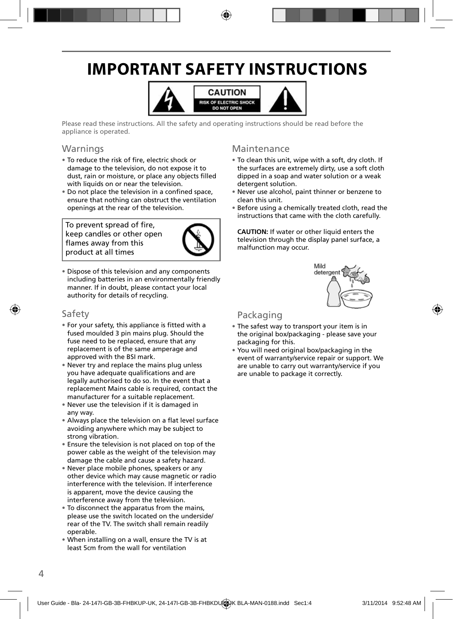## **IMPORTANT SAFETY INSTRUCTIONS**



Please read these instructions. All the safety and operating instructions should be read before the appliance is operated.

#### Warnings

- To reduce the risk of fire, electric shock or damage to the television, do not expose it to dust, rain or moisture, or place any objects filled with liquids on or near the television.
- Do not place the television in a confined space, ensure that nothing can obstruct the ventilation openings at the rear of the television.

To prevent spread of fire, keep candles or other open flames away from this product at all times



• Dispose of this television and any components including batteries in an environmentally friendly manner. If in doubt, please contact your local authority for details of recycling.

#### Safety

- For your safety, this appliance is fitted with a fused moulded 3 pin mains plug. Should the fuse need to be replaced, ensure that any replacement is of the same amperage and approved with the BSI mark.
- Never try and replace the mains plug unless you have adequate qualifications and are legally authorised to do so. In the event that a replacement Mains cable is required, contact the manufacturer for a suitable replacement.
- Never use the television if it is damaged in any way.
- Always place the television on a flat level surface avoiding anywhere which may be subject to strong vibration.
- Ensure the television is not placed on top of the power cable as the weight of the television may damage the cable and cause a safety hazard.
- Never place mobile phones, speakers or any other device which may cause magnetic or radio interference with the television. If interference is apparent, move the device causing the interference away from the television.
- To disconnect the apparatus from the mains, please use the switch located on the underside/ rear of the TV. The switch shall remain readily operable.
- When installing on a wall, ensure the TV is at least 5cm from the wall for ventilation

#### Maintenance

- To clean this unit, wipe with a soft, dry cloth. If the surfaces are extremely dirty, use a soft cloth dipped in a soap and water solution or a weak detergent solution.
- Never use alcohol, paint thinner or benzene to clean this unit.
- Before using a chemically treated cloth, read the instructions that came with the cloth carefully.

**CAUTION:** If water or other liquid enters the television through the display panel surface, a malfunction may occur.



### Packaging

- The safest way to transport your item is in the original box/packaging - please save your packaging for this.
- You will need original box/packaging in the event of warranty/service repair or support. We are unable to carry out warranty/service if you are unable to package it correctly.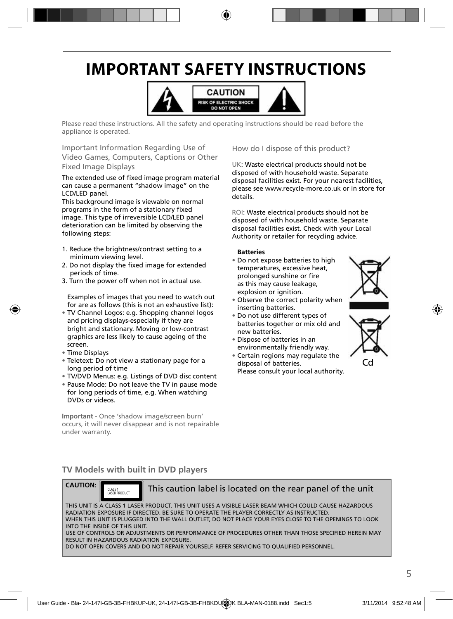## **IMPORTANT SAFETY INSTRUCTIONS**



Please read these instructions. All the safety and operating instructions should be read before the appliance is operated.

Important Information Regarding Use of Video Games, Computers, Captions or Other Fixed Image Displays

The extended use of fixed image program material can cause a permanent "shadow image" on the LCD/LED panel.

This background image is viewable on normal programs in the form of a stationary fixed image. This type of irreversible LCD/LED panel deterioration can be limited by observing the following steps:

- 1. Reduce the brightness/contrast setting to a minimum viewing level.
- 2. Do not display the fixed image for extended periods of time.
- 3. Turn the power off when not in actual use.

Examples of images that you need to watch out for are as follows (this is not an exhaustive list):

- TV Channel Logos: e.g. Shopping channel logos and pricing displays-especially if they are bright and stationary. Moving or low-contrast graphics are less likely to cause ageing of the screen.
- Time Displays
- Teletext: Do not view a stationary page for a long period of time
- TV/DVD Menus: e.g. Listings of DVD disc content
- Pause Mode: Do not leave the TV in pause mode for long periods of time, e.g. When watching DVDs or videos.

**Important** - Once 'shadow image/screen burn' occurs, it will never disappear and is not repairable under warranty.

How do I dispose of this product?

UK: Waste electrical products should not be disposed of with household waste. Separate disposal facilities exist. For your nearest facilities, please see www.recycle-more.co.uk or in store for details.

ROI: Waste electrical products should not be disposed of with household waste. Separate disposal facilities exist. Check with your Local Authority or retailer for recycling advice.

#### **Batteries**

• Do not expose batteries to high temperatures, excessive heat, prolonged sunshine or fire as this may cause leakage, explosion or ignition.



- Observe the correct polarity when inserting batteries.
- Do not use different types of batteries together or mix old and new batteries.
- Dispose of batteries in an environmentally friendly way.
- Certain regions may regulate the disposal of batteries. Please consult your local authority.



Cd

### **TV Models with built in DVD players**



CLASS 1<br>LASER PRODUCT

This caution label is located on the rear panel of the unit

THIS UNIT IS A CLASS 1 LASER PRODUCT. THIS UNIT USES A VISIBLE LASER BEAM WHICH COULD CAUSE HAZARDOUS RADIATION EXPOSURE IF DIRECTED. BE SURE TO OPERATE THE PLAYER CORRECTLY AS INSTRUCTED. WHEN THIS UNIT IS PLUGGED INTO THE WALL OUTLET, DO NOT PLACE YOUR EYES CLOSE TO THE OPENINGS TO LOOK INTO THE INSIDE OF THIS UNIT. USE OF CONTROLS OR ADJUSTMENTS OR PERFORMANCE OF PROCEDURES OTHER THAN THOSE SPECIFIED HEREIN MAY

RESULT IN HAZARDOUS RADIATION EXPOSURE.

DO NOT OPEN COVERS AND DO NOT REPAIR YOURSELF. REFER SERVICING TO QUALIFIED PERSONNEL.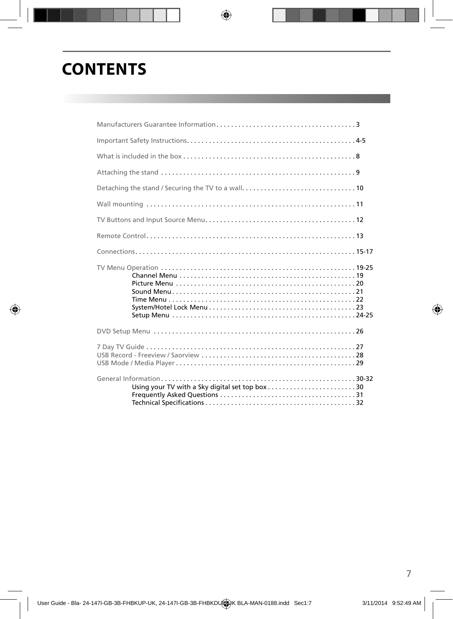## **CONTENTS**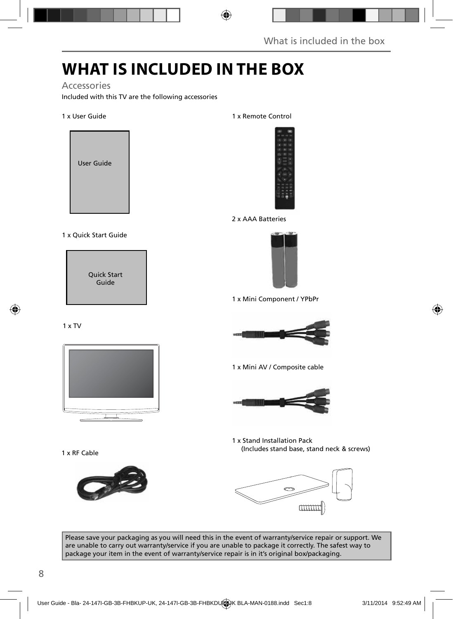## **WHAT IS INCLUDED IN THE BOX**

#### Accessories

Included with this TV are the following accessories

#### 1 x User Guide



#### 1 x Quick Start Guide

Quick Start Guide

#### 1 x TV



1 x RF Cable



#### 1 x Remote Control



#### 2 x AAA Batteries



1 x Mini Component / YPbPr



1 x Mini AV / Composite cable



1 x Stand Installation Pack (Includes stand base, stand neck & screws)



Please save your packaging as you will need this in the event of warranty/service repair or support. We are unable to carry out warranty/service if you are unable to package it correctly. The safest way to package your item in the event of warranty/service repair is in it's original box/packaging.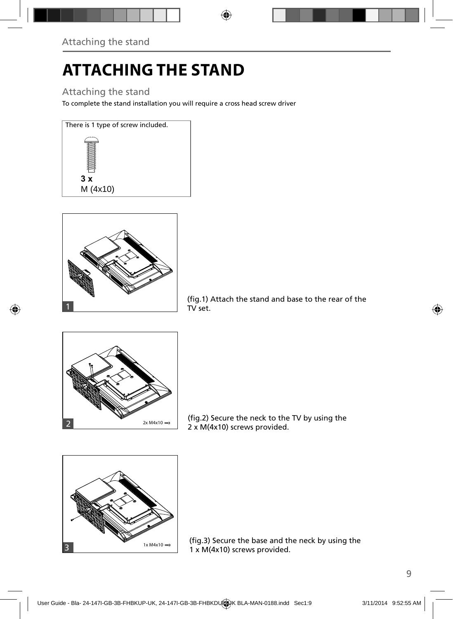## **ATTACHING THE STAND**

### Attaching the stand

To complete the stand installation you will require a cross head screw driver









(fig.2) Secure the neck to the TV by using the 2 x M(4x10) screws provided.



(fig.3) Secure the base and the neck by using the 1 x M(4x10) screws provided.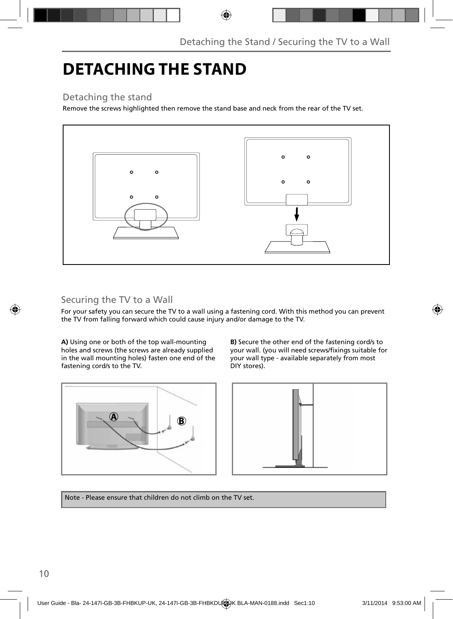## **DETACHING THE STAND**

### Detaching the stand

Remove the screws highlighted then remove the stand base and neck from the rear of the TV set.



### Securing the TV to a Wall

For your safety you can secure the TV to a wall using a fastening cord. With this method you can prevent the TV from falling forward which could cause injury and/or damage to the TV.

**A)** Using one or both of the top wall-mounting holes and screws (the screws are already supplied in the wall mounting holes) fasten one end of the fastening cord/s to the TV.



**B)** Secure the other end of the fastening cord/s to your wall. (you will need screws/fixings suitable for your wall type - available separately from most DIY stores).



Note - Please ensure that children do not climb on the TV set.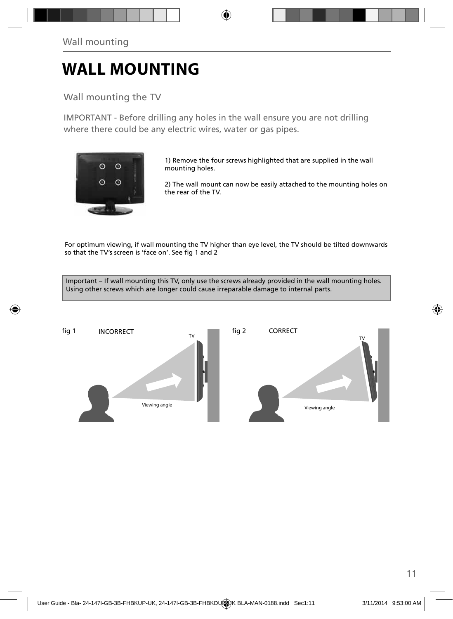## **WALL MOUNTING**

### Wall mounting the TV

IMPORTANT - Before drilling any holes in the wall ensure you are not drilling where there could be any electric wires, water or gas pipes.



1) Remove the four screws highlighted that are supplied in the wall mounting holes.

2) The wall mount can now be easily attached to the mounting holes on the rear of the TV.

For optimum viewing, if wall mounting the TV higher than eye level, the TV should be tilted downwards so that the TV's screen is 'face on'. See fig 1 and 2

Important – If wall mounting this TV, only use the screws already provided in the wall mounting holes. Using other screws which are longer could cause irreparable damage to internal parts.

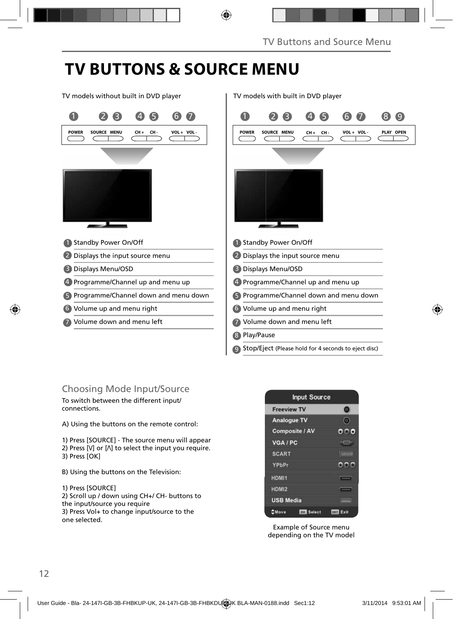## **TV BUTTONS & SOURCE MENU**

TV models without built in DVD player TV models with built in DVD player



### Choosing Mode Input/Source

To switch between the different input/ connections.

A) Using the buttons on the remote control:

1) Press [SOURCE] - The source menu will appear 2) Press  $[V]$  or  $[\Lambda]$  to select the input you require. 3) Press [OK]

B) Using the buttons on the Television:

1) Press [SOURCE]

2) Scroll up / down using CH+/ CH- buttons to the input/source you require 3) Press Vol+ to change input/source to the one selected.



Example of Source menu depending on the TV model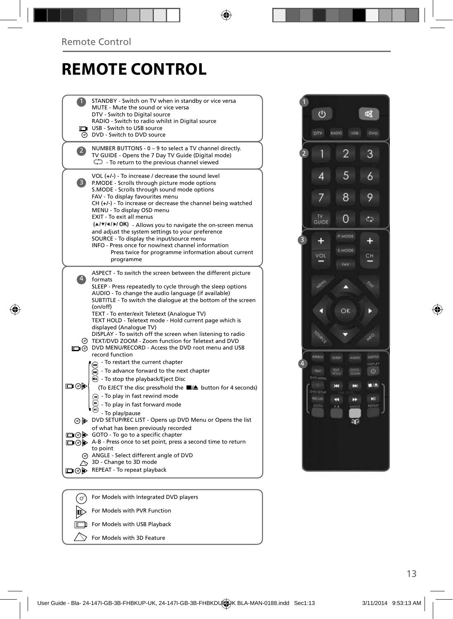### **REMOTE CONTROL**

|     | STANDBY - Switch on TV when in standby or vice versa<br>MUTE - Mute the sound or vice versa<br>DTV - Switch to Digital source<br>RADIO - Switch to radio whilst in Digital source                                                                                                                                                   |
|-----|-------------------------------------------------------------------------------------------------------------------------------------------------------------------------------------------------------------------------------------------------------------------------------------------------------------------------------------|
| ∞   | USB - Switch to USB source<br>DVD - Switch to DVD source                                                                                                                                                                                                                                                                            |
|     | NUMBER BUTTONS - 0 - 9 to select a TV channel directly.<br>TV GUIDE - Opens the 7 Day TV Guide (Digital mode)<br>$\bigcirc$ - To return to the previous channel viewed                                                                                                                                                              |
| 3)  | VOL (+/-) - To increase / decrease the sound level<br>P.MODE - Scrolls through picture mode options<br>S.MODE - Scrolls through sound mode options<br>FAV - To display favourites menu<br>$CH (+/-)$ - To increase or decrease the channel being watched<br>MENU - To display OSD menu<br>EXIT - To exit all menus                  |
|     | (A/V/4/M/OK) - Allows you to navigate the on-screen menus<br>and adjust the system settings to your preference<br>SOURCE - To display the input/source menu<br>INFO - Press once for now/next channel information<br>Press twice for programme information about current<br>programme                                               |
|     | ASPECT - To switch the screen between the different picture<br>formats<br>SLEEP - Press repeatedly to cycle through the sleep options<br>AUDIO - To change the audio language (if available)<br>SUBTITLE - To switch the dialogue at the bottom of the screen<br>(on/off)                                                           |
| (တ) | TEXT - To enter/exit Teletext (Analogue TV)<br>TEXT HOLD - Teletext mode - Hold current page which is<br>displayed (Analogue TV)<br>DISPLAY - To switch off the screen when listening to radio<br>TEXT/DVD ZOOM - Zoom function for Teletext and DVD<br>n (ග) DVD MENU/RECORD - Access the DVD root menu and USB<br>record function |
| య⊚⊡ | - To restart the current chapter<br>⋒<br>- To advance forward to the next chapter<br>$\left( \blacksquare \right)$<br>◯ - To stop the playback/Eject Disc<br>(To EJECT the disc press/hold the ■/▲ button for 4 seconds)<br>+ To play in fast rewind mode<br>- To play in fast forward mode<br>- To play/pause                      |
|     | o b DVD SETUP/REC LIST - Opens up DVD Menu or Opens the list<br>of what has been previously recorded                                                                                                                                                                                                                                |
|     | □ ⊙ > GOTO - To go to a specific chapter<br>□⊙ > A-B - Press once to set point, press a second time to return                                                                                                                                                                                                                       |
|     | to point<br>@ ANGLE - Select different angle of DVD<br>$\sim$ 3D - Change to 3D mode<br>□ ⊙ b REPEAT - To repeat playback                                                                                                                                                                                                           |
|     |                                                                                                                                                                                                                                                                                                                                     |
| (ഗ  | For Models with Integrated DVD players                                                                                                                                                                                                                                                                                              |

For Models with PVR Function For Models with USB Playback  $\searrow$  For Models with 3D Feature

 $\mathbb{D}$  $\Box$ 

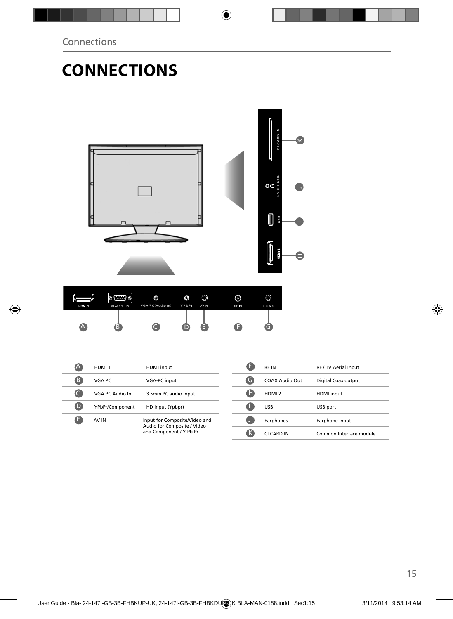## **CONNECTIONS**



|   | HDMI <sub>1</sub> | <b>HDMI</b> input                                                                       |
|---|-------------------|-----------------------------------------------------------------------------------------|
| B | VGA PC            | <b>VGA-PC input</b>                                                                     |
|   | VGA PC Audio In   | 3.5mm PC audio input                                                                    |
| D | YPbPr/Component   | HD input (Ypbpr)                                                                        |
|   | AV IN             | Input for Composite/Video and<br>Audio for Composite / Video<br>and Component / Y Pb Pr |

|   | <b>RFIN</b>       | RF / TV Aerial Input    |
|---|-------------------|-------------------------|
| G | COAX Audio Out    | Digital Coax output     |
| ы | HDMI <sub>2</sub> | <b>HDMI</b> input       |
|   | USB               | USB port                |
|   | Earphones         | Earphone Input          |
| ĸ | CLCARD IN         | Common Interface module |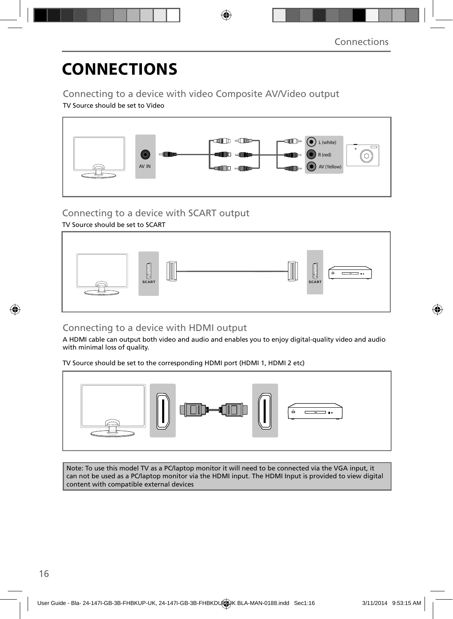## **CONNECTIONS**

### Connecting to a device with video Composite AV/Video output

TV Source should be set to Video



### Connecting to a device with SCART output

TV Source should be set to SCART



### Connecting to a device with HDMI output

A HDMI cable can output both video and audio and enables you to enjoy digital-quality video and audio with minimal loss of quality.

TV Source should be set to the corresponding HDMI port (HDMI 1, HDMI 2 etc)



Note: To use this model TV as a PC/laptop monitor it will need to be connected via the VGA input, it can not be used as a PC/laptop monitor via the HDMI input. The HDMI Input is provided to view digital content with compatible external devices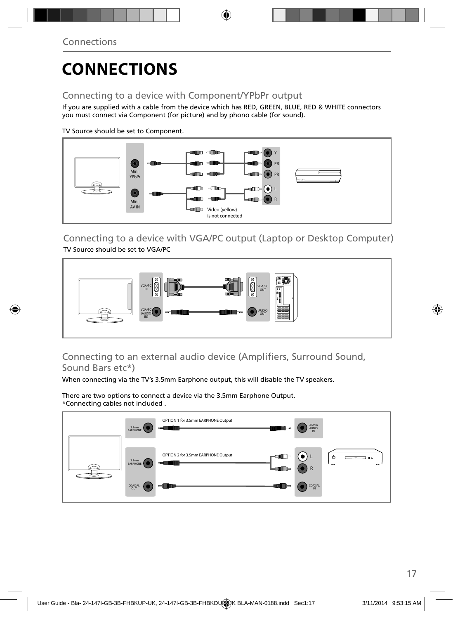## **CONNECTIONS**

### Connecting to a device with Component/YPbPr output

If you are supplied with a cable from the device which has RED, GREEN, BLUE, RED & WHITE connectors you must connect via Component (for picture) and by phono cable (for sound).

TV Source should be set to Component.



Connecting to a device with VGA/PC output (Laptop or Desktop Computer) TV Source should be set to VGA/PC



### Connecting to an external audio device (Amplifiers, Surround Sound, Sound Bars etc\*)

When connecting via the TV's 3.5mm Earphone output, this will disable the TV speakers.

There are two options to connect a device via the 3.5mm Earphone Output. \*Connecting cables not included .

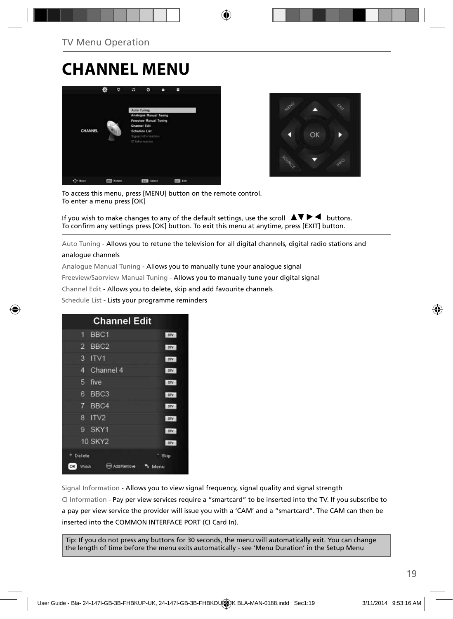### **CHANNEL MENU**





To access this menu, press [MENU] button on the remote control. To enter a menu press [OK]

If you wish to make changes to any of the default settings, use the scroll  $\blacktriangle \blacktriangledown \blacktriangleright \blacktriangleleft$  buttons. To confirm any settings press [OK] button. To exit this menu at anytime, press [EXIT] button.

Auto Tuning - Allows you to retune the television for all digital channels, digital radio stations and

#### analogue channels

Analogue Manual Tuning - Allows you to manually tune your analogue signal

Freeview/Saorview Manual Tuning - Allows you to manually tune your digital signal

Channel Edit - Allows you to delete, skip and add favourite channels

Schedule List - Lists your programme reminders

| <b>Channel Edit</b>                          |            |
|----------------------------------------------|------------|
| BBC1<br>٦                                    | otv        |
| BBC <sub>2</sub><br>$\overline{\phantom{a}}$ | orv        |
| ITVI<br>3                                    | <b>OTV</b> |
| Channel 4<br>4                               | <b>DIV</b> |
| 5<br>five                                    | otv        |
| 6<br>BBC <sub>3</sub>                        | orv        |
| BBC4<br>7                                    | DTV        |
| ITV <sub>2</sub><br>R                        | otv        |
| SKY1<br>g                                    | <b>DTV</b> |
| <b>10 SKY2</b>                               | DTV        |
| Delete                                       | Skip       |
| OK<br>Watch<br>nn Remove                     | Menu       |

Signal Information - Allows you to view signal frequency, signal quality and signal strength CI Information - Pay per view services require a "smartcard" to be inserted into the TV. If you subscribe to a pay per view service the provider will issue you with a 'CAM' and a "smartcard". The CAM can then be inserted into the COMMON INTERFACE PORT (CI Card In).

Tip: If you do not press any buttons for 30 seconds, the menu will automatically exit. You can change the length of time before the menu exits automatically - see 'Menu Duration' in the Setup Menu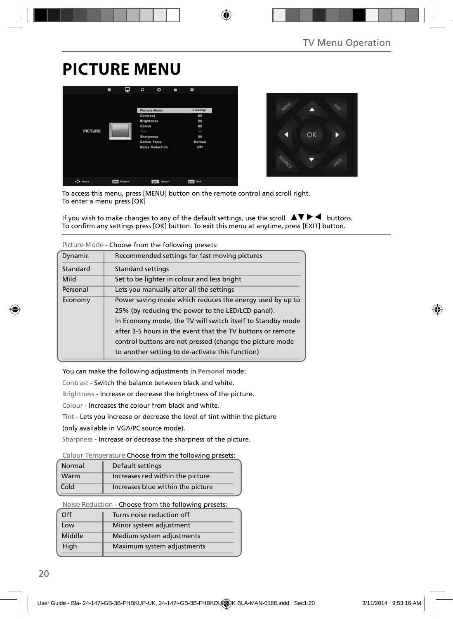## **PICTURE MENU**





To access this menu, press [MENU] button on the remote control and scroll right. To enter a menu press [OK]

If you wish to make changes to any of the default settings, use the scroll  $\blacktriangle \blacktriangledown \blacktriangleright \blacktriangleleft$  buttons. To confirm any settings press [OK] button. To exit this menu at anytime, press [EXIT] button.

|          | TIGULE IVIOUE - CHOOSE HOIH LITE TOHOWIHU DI ESELS.                                                                                                                                                                                                                                                   |
|----------|-------------------------------------------------------------------------------------------------------------------------------------------------------------------------------------------------------------------------------------------------------------------------------------------------------|
| Dynamic  | Recommended settings for fast moving pictures                                                                                                                                                                                                                                                         |
| Standard | <b>Standard settings</b>                                                                                                                                                                                                                                                                              |
| Mild     | Set to be lighter in colour and less bright                                                                                                                                                                                                                                                           |
| Personal | Lets you manually alter all the settings                                                                                                                                                                                                                                                              |
| Economy  | Power saving mode which reduces the energy used by up to<br>25% (by reducing the power to the LED/LCD panel).<br>In Economy mode, the TV will switch itself to Standby mode<br>after 3-5 hours in the event that the TV buttons or remote<br>control buttons are not pressed (change the picture mode |
|          | to another setting to de-activate this function)                                                                                                                                                                                                                                                      |

**Picture Mode** - Choose from the following presets:

You can make the following adjustments in **Personal** mode:

Contrast - Switch the balance between black and white.

Brightness - Increase or decrease the brightness of the picture.

Colour - Increases the colour from black and white.

Tint - Lets you increase or decrease the level of tint within the picture

(only available in VGA/PC source mode).

Sharpness - Increase or decrease the sharpness of the picture.

#### **Colour Temperature** Choose from the following presets:

| Normal | Default settings                  |
|--------|-----------------------------------|
| Warm   | Increases red within the picture  |
| Cold   | Increases blue within the picture |

**Noise Reduction** - Choose from the following presets:

| Off    | Turns noise reduction off  |
|--------|----------------------------|
| Low    | Minor system adjustment    |
| Middle | Medium system adjustments  |
| High   | Maximum system adjustments |
|        |                            |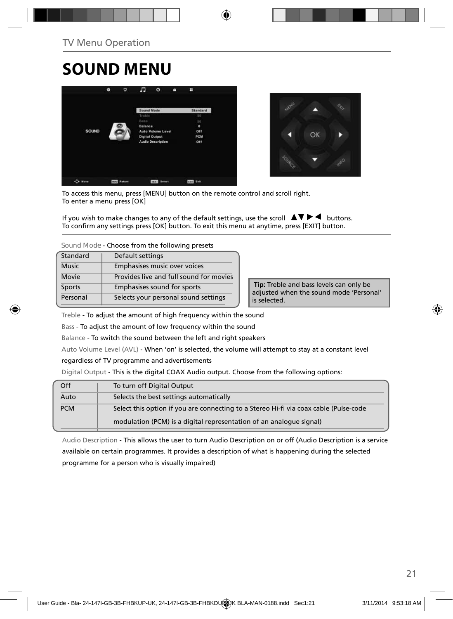## **SOUND MENU**





To access this menu, press [MENU] button on the remote control and scroll right. To enter a menu press [OK]

If you wish to make changes to any of the default settings, use the scroll  $\blacktriangle \blacktriangledown \blacktriangleright \blacktriangleleft$  buttons. To confirm any settings press [OK] button. To exit this menu at anytime, press [EXIT] button.

**Sound Mode** - Choose from the following presets

| Standard      | Default settings                        |
|---------------|-----------------------------------------|
| <b>Music</b>  | Emphasises music over voices            |
| Movie         | Provides live and full sound for movies |
| <b>Sports</b> | Emphasises sound for sports             |
| Personal      | Selects your personal sound settings    |

 **Tip:** Treble and bass levels can only be adjusted when the sound mode 'Personal' is selected.

Treble - To adjust the amount of high frequency within the sound

Bass - To adjust the amount of low frequency within the sound

Balance - To switch the sound between the left and right speakers

Auto Volume Level (AVL) - When 'on' is selected, the volume will attempt to stay at a constant level

regardless of TV programme and advertisements

Digital Output - This is the digital COAX Audio output. Choose from the following options:

| Off        | To turn off Digital Output                                                            |
|------------|---------------------------------------------------------------------------------------|
| Auto       | Selects the best settings automatically                                               |
| <b>PCM</b> | Select this option if you are connecting to a Stereo Hi-fi via coax cable (Pulse-code |
|            | modulation (PCM) is a digital representation of an analogue signal)                   |

Audio Description - This allows the user to turn Audio Description on or off (Audio Description is a service available on certain programmes. It provides a description of what is happening during the selected programme for a person who is visually impaired)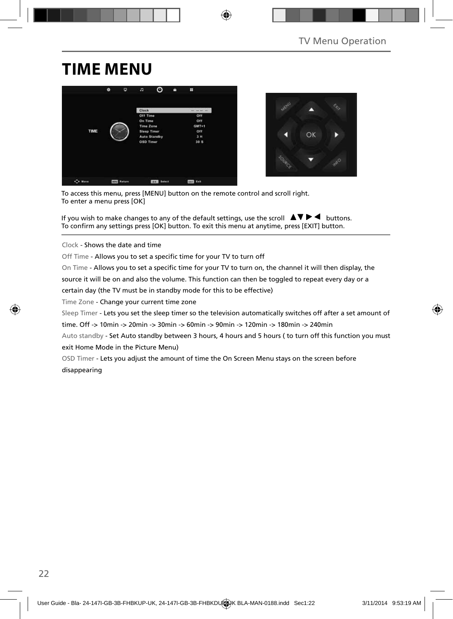## **TIME MENU**





To access this menu, press [MENU] button on the remote control and scroll right. To enter a menu press [OK]

If you wish to make changes to any of the default settings, use the scroll  $\Delta \nabla \blacktriangleright$   $\blacktriangleleft$  buttons. To confirm any settings press [OK] button. To exit this menu at anytime, press [EXIT] button.

Clock - Shows the date and time

Off Time - Allows you to set a specific time for your TV to turn off

On Time - Allows you to set a specific time for your TV to turn on, the channel it will then display, the

source it will be on and also the volume. This function can then be toggled to repeat every day or a

certain day (the TV must be in standby mode for this to be effective)

Time Zone - Change your current time zone

Sleep Timer - Lets you set the sleep timer so the television automatically switches off after a set amount of

time. Off -> 10min -> 20min -> 30min -> 60min -> 90min -> 120min -> 180min -> 240min

Auto standby - Set Auto standby between 3 hours, 4 hours and 5 hours ( to turn off this function you must exit Home Mode in the Picture Menu)

OSD Timer - Lets you adjust the amount of time the On Screen Menu stays on the screen before disappearing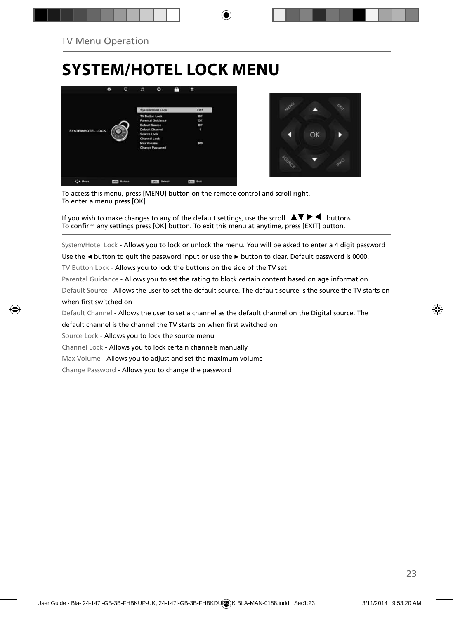## **SYSTEM/HOTEL LOCK MENU**





To access this menu, press [MENU] button on the remote control and scroll right. To enter a menu press [OK]

If you wish to make changes to any of the default settings, use the scroll  $\Box \blacktriangledown \blacktriangleright \blacktriangleleft$  buttons. To confirm any settings press [OK] button. To exit this menu at anytime, press [EXIT] button.

System/Hotel Lock - Allows you to lock or unlock the menu. You will be asked to enter a 4 digit password

Use the **◄** button to quit the password input or use the **►** button to clear. Default password is 0000.

TV Button Lock - Allows you to lock the buttons on the side of the TV set

Parental Guidance - Allows you to set the rating to block certain content based on age information

Default Source - Allows the user to set the default source. The default source is the source the TV starts on when first switched on

Default Channel - Allows the user to set a channel as the default channel on the Digital source. The

default channel is the channel the TV starts on when first switched on

Source Lock - Allows you to lock the source menu

Channel Lock - Allows you to lock certain channels manually

Max Volume - Allows you to adjust and set the maximum volume

Change Password - Allows you to change the password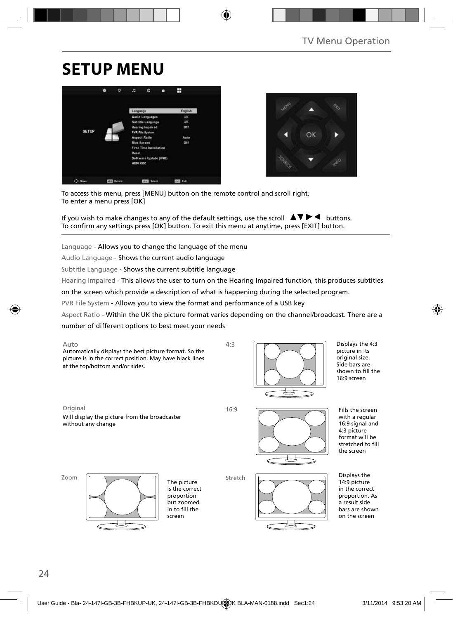## **SETUP MENU**





To access this menu, press [MENU] button on the remote control and scroll right. To enter a menu press [OK]

If you wish to make changes to any of the default settings, use the scroll  $\Delta \nabla \blacktriangleright$   $\blacktriangleleft$  buttons. To confirm any settings press [OK] button. To exit this menu at anytime, press [EXIT] button.

Language - Allows you to change the language of the menu

Audio Language - Shows the current audio language

Subtitle Language - Shows the current subtitle language

Hearing Impaired - This allows the user to turn on the Hearing Impaired function, this produces subtitles

on the screen which provide a description of what is happening during the selected program.

PVR File System - Allows you to view the format and performance of a USB key

Aspect Ratio - Within the UK the picture format varies depending on the channel/broadcast. There are a

number of different options to best meet your needs



Displays the 4:3 picture in its original size. Side bars are shown to fill the 16:9 screen

Original 16:9 Will display the picture from the broadcaster without any change



Fills the screen with a regular 16:9 signal and 4:3 picture format will be stretched to fill the screen

Zoom



The picture is the correct proportion but zoomed in to fill the screen

Stretch



Displays the 14:9 picture in the correct proportion. As a result side bars are shown on the screen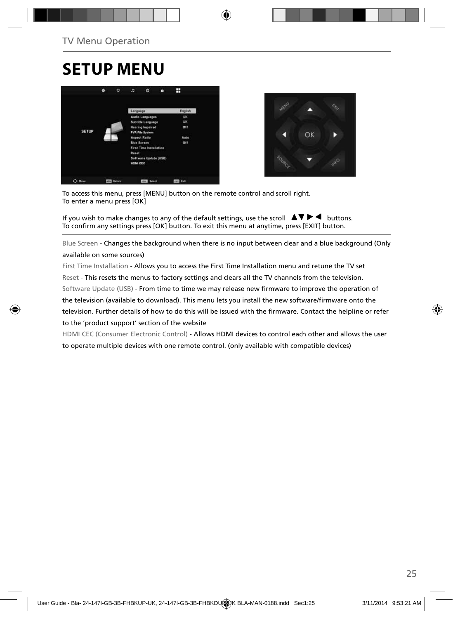### **SETUP MENU**





To access this menu, press [MENU] button on the remote control and scroll right. To enter a menu press [OK]

If you wish to make changes to any of the default settings, use the scroll  $\Box \Box \blacktriangleright \blacktriangleleft$  buttons. To confirm any settings press [OK] button. To exit this menu at anytime, press [EXIT] button.

Blue Screen - Changes the background when there is no input between clear and a blue background (Only available on some sources)

First Time Installation - Allows you to access the First Time Installation menu and retune the TV set Reset - This resets the menus to factory settings and clears all the TV channels from the television. Software Update (USB) - From time to time we may release new firmware to improve the operation of the television (available to download). This menu lets you install the new software/firmware onto the television. Further details of how to do this will be issued with the firmware. Contact the helpline or refer to the 'product support' section of the website

HDMI CEC (Consumer Electronic Control) - Allows HDMI devices to control each other and allows the user to operate multiple devices with one remote control. (only available with compatible devices)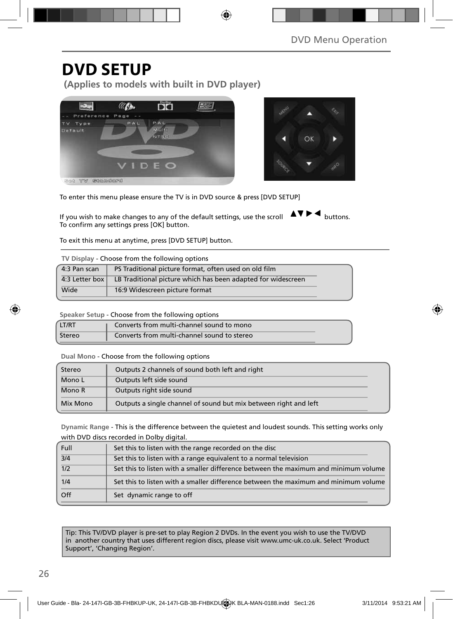### **DVD SETUP**

**(Applies to models with built in DVD player)**





To enter this menu please ensure the TV is in DVD source & press [DVD SETUP]

If you wish to make changes to any of the default settings, use the scroll  $\Delta \nabla \blacktriangleright$  buttons. To confirm any settings press [OK] button.

To exit this menu at anytime, press [DVD SETUP] button.

| TV Display - Choose from the following options |  |  |  |  |  |
|------------------------------------------------|--|--|--|--|--|
|------------------------------------------------|--|--|--|--|--|

| 4:3 Pan scan | PS Traditional picture format, often used on old film                         |
|--------------|-------------------------------------------------------------------------------|
|              | 4:3 Letter box   LB Traditional picture which has been adapted for widescreen |
| Wide         | 16:9 Widescreen picture format                                                |

**Speaker Setup** - Choose from the following options

| LT/RT  | Converts from multi-channel sound to mono   |
|--------|---------------------------------------------|
| Stereo | Converts from multi-channel sound to stereo |

**Dual Mono** - Choose from the following options

| Stereo   | Outputs 2 channels of sound both left and right                  |  |
|----------|------------------------------------------------------------------|--|
| Mono L   | Outputs left side sound                                          |  |
| Mono R   | Outputs right side sound                                         |  |
| Mix Mono | Outputs a single channel of sound but mix between right and left |  |

**Dynamic Range** - This is the difference between the quietest and loudest sounds. This setting works only with DVD discs recorded in Dolby digital.

| Full             | Set this to listen with the range recorded on the disc                              |
|------------------|-------------------------------------------------------------------------------------|
| 3/4              | Set this to listen with a range equivalent to a normal television                   |
| $\overline{1/2}$ | Set this to listen with a smaller difference between the maximum and minimum volume |
| 1/4              | Set this to listen with a smaller difference between the maximum and minimum volume |
| Off              | Set dynamic range to off                                                            |

Tip: This TV/DVD player is pre-set to play Region 2 DVDs. In the event you wish to use the TV/DVD in another country that uses different region discs, please visit www.umc-uk.co.uk. Select 'Product Support', 'Changing Region'.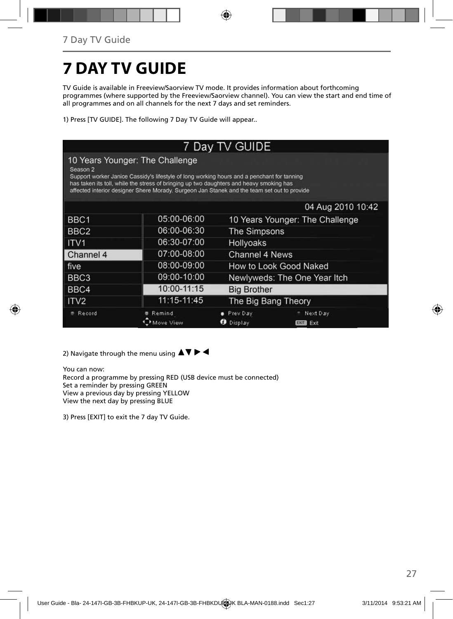## **7 DAY TV GUIDE**

TV Guide is available in Freeview/Saorview TV mode. It provides information about forthcoming programmes (where supported by the Freeview/Saorview channel). You can view the start and end time of all programmes and on all channels for the next 7 days and set reminders.

1) Press [TV GUIDE]. The following 7 Day TV Guide will appear..

| 7 Day TV GUIDE                                                                                                                                                                                                                                                                                                                                 |                     |                                 |                                 |  |
|------------------------------------------------------------------------------------------------------------------------------------------------------------------------------------------------------------------------------------------------------------------------------------------------------------------------------------------------|---------------------|---------------------------------|---------------------------------|--|
| 10 Years Younger: The Challenge<br>Season <sub>2</sub><br>Support worker Janice Cassidy's lifestyle of long working hours and a penchant for tanning<br>has taken its toll, while the stress of bringing up two daughters and heavy smoking has<br>affected interior designer Shere Morady. Surgeon Jan Stanek and the team set out to provide |                     |                                 |                                 |  |
|                                                                                                                                                                                                                                                                                                                                                |                     |                                 | 04 Aug 2010 10:42               |  |
| BBC1                                                                                                                                                                                                                                                                                                                                           | 05:00-06:00         | 10 Years Younger: The Challenge |                                 |  |
| BBC <sub>2</sub>                                                                                                                                                                                                                                                                                                                               | 06:00-06:30         | The Simpsons                    |                                 |  |
| ITV <sub>1</sub>                                                                                                                                                                                                                                                                                                                               | 06:30-07:00         | Hollyoaks                       |                                 |  |
| Channel 4                                                                                                                                                                                                                                                                                                                                      | 07:00-08:00         | Channel 4 News                  |                                 |  |
| ∣ five                                                                                                                                                                                                                                                                                                                                         | 08:00-09:00         | How to Look Good Naked          |                                 |  |
| BBC3                                                                                                                                                                                                                                                                                                                                           | 09:00-10:00         | Newlyweds: The One Year Itch    |                                 |  |
| BBC4                                                                                                                                                                                                                                                                                                                                           | 10:00-11:15         | <b>Big Brother</b>              |                                 |  |
| ITV <sub>2</sub>                                                                                                                                                                                                                                                                                                                               | 11:15-11:45         | The Big Bang Theory             |                                 |  |
| Record                                                                                                                                                                                                                                                                                                                                         | Remind<br>Move View | Prev Day<br><b>O</b> Display    | Next Day<br>Exit<br><b>EXIT</b> |  |

2) Navigate through the menu using  $\blacktriangle \blacktriangledown \blacktriangleright \blacktriangleleft$ 

You can now: Record a programme by pressing RED (USB device must be connected) Set a reminder by pressing GREEN View a previous day by pressing YELLOW View the next day by pressing BLUE

3) Press [EXIT] to exit the 7 day TV Guide.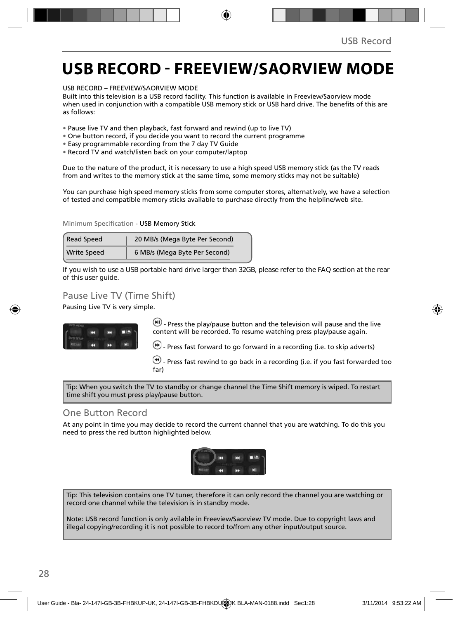### **USB RECORD - FREEVIEW/SAORVIEW MODE**

USB RECORD – FREEVIEW/SAORVIEW MODE

Built into this television is a USB record facility. This function is available in Freeview/Saorview mode when used in conjunction with a compatible USB memory stick or USB hard drive. The benefits of this are as follows:

- Pause live TV and then playback, fast forward and rewind (up to live TV)
- One button record, if you decide you want to record the current programme
- Easy programmable recording from the 7 day TV Guide
- Record TV and watch/listen back on your computer/laptop

Due to the nature of the product, it is necessary to use a high speed USB memory stick (as the TV reads from and writes to the memory stick at the same time, some memory sticks may not be suitable)

You can purchase high speed memory sticks from some computer stores, alternatively, we have a selection of tested and compatible memory sticks available to purchase directly from the helpline/web site.

Minimum Specification - USB Memory Stick

| <b>Read Speed</b>  | 20 MB/s (Mega Byte Per Second) |  |  |
|--------------------|--------------------------------|--|--|
| <b>Write Speed</b> | 6 MB/s (Mega Byte Per Second)  |  |  |

**If you wish to use a USB portable hard drive larger than 32GB, please refer to the FAQ section at the rear of this user guide.**

#### Pause Live TV (Time Shift)

Pausing Live TV is very simple.



 $(W)$  - Press the play/pause button and the television will pause and the live content will be recorded. To resume watching press play/pause again.

 $\bigoplus$  - Press fast forward to go forward in a recording (i.e. to skip adverts)

 $\bigcirc$  - Press fast rewind to go back in a recording (i.e. if you fast forwarded too far)

Tip: When you switch the TV to standby or change channel the Time Shift memory is wiped. To restart time shift you must press play/pause button.

#### One Button Record

At any point in time you may decide to record the current channel that you are watching. To do this you need to press the red button highlighted below.



Tip: This television contains one TV tuner, therefore it can only record the channel you are watching or record one channel while the television is in standby mode.

Note: USB record function is only avilable in Freeview/Saorview TV mode. Due to copyright laws and illegal copying/recording it is not possible to record to/from any other input/output source.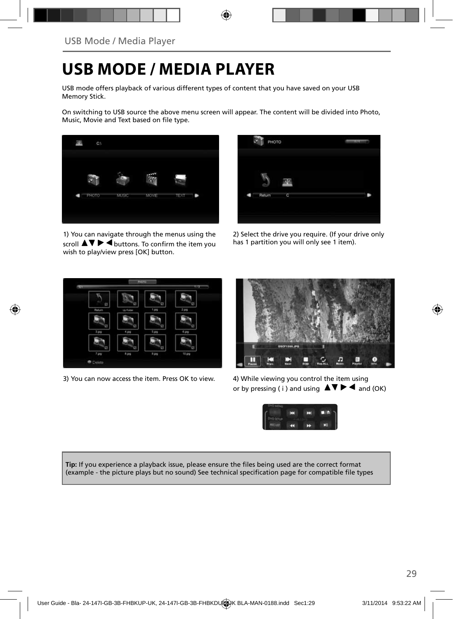### **USB MODE / MEDIA PLAYER**

USB mode offers playback of various different types of content that you have saved on your USB Memory Stick.

On switching to USB source the above menu screen will appear. The content will be divided into Photo, Music, Movie and Text based on file type.



1) You can navigate through the menus using the scroll  $\triangle \blacktriangledown \blacktriangleright \blacktriangleleft$  buttons. To confirm the item you wish to play/view press [OK] button.



2) Select the drive you require. (If your drive only has 1 partition you will only see 1 item).



3) You can now access the item. Press OK to view. 4) While viewing you control the item using



or by pressing (i) and using  $\Delta \nabla \blacktriangleright$   $\blacktriangle$  and (OK)



Tip: If you experience a playback issue, please ensure the files being used are the correct format (example - the picture plays but no sound) See technical specification page for compatible file types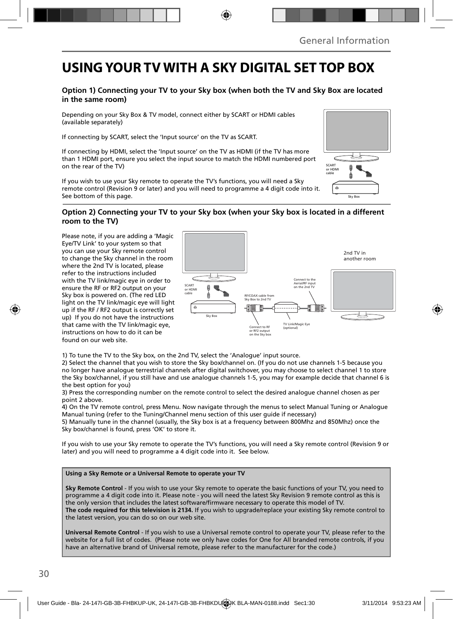### **USING YOUR TV WITH A SKY DIGITAL SET TOP BOX**

#### **Option 1) Connecting your TV to your Sky box (when both the TV and Sky Box are located in the same room)**

Depending on your Sky Box & TV model, connect either by SCART or HDMI cables (available separately)

If connecting by SCART, select the 'Input source' on the TV as SCART.

If connecting by HDMI, select the 'Input source' on the TV as HDMI (if the TV has more than 1 HDMI port, ensure you select the input source to match the HDMI numbered port on the rear of the TV)

If you wish to use your Sky remote to operate the TV's functions, you will need a Sky remote control (Revision 9 or later) and you will need to programme a 4 digit code into it. See bottom of this page.

# SCART or HDMI cable  $\ddot{ }$ Sky Box

#### **Option 2) Connecting your TV to your Sky box (when your Sky box is located in a different room to the TV)**

Please note, if you are adding a 'Magic Eye/TV Link' to your system so that you can use your Sky remote control to change the Sky channel in the room where the 2nd TV is located, please refer to the instructions included with the TV link/magic eye in order to ensure the RF or RF2 output on your Sky box is powered on. (The red LED light on the TV link/magic eye will light up if the RF / RF2 output is correctly set up) If you do not have the instructions that came with the TV link/magic eye, instructions on how to do it can be found on our web site.



1) To tune the TV to the Sky box, on the 2nd TV, select the 'Analogue' input source.

2) Select the channel that you wish to store the Sky box/channel on. (If you do not use channels 1-5 because you no longer have analogue terrestrial channels after digital switchover, you may choose to select channel 1 to store the Sky box/channel, if you still have and use analogue channels 1-5, you may for example decide that channel 6 is the best option for you)

3) Press the corresponding number on the remote control to select the desired analogue channel chosen as per point 2 above.

4) On the TV remote control, press Menu. Now navigate through the menus to select Manual Tuning or Analogue Manual tuning (refer to the Tuning/Channel menu section of this user guide if necessary)

5) Manually tune in the channel (usually, the Sky box is at a frequency between 800Mhz and 850Mhz) once the Sky box/channel is found, press 'OK' to store it.

If you wish to use your Sky remote to operate the TV's functions, you will need a Sky remote control (Revision 9 or later) and you will need to programme a 4 digit code into it. See below.

#### **Using a Sky Remote or a Universal Remote to operate your TV**

**Sky Remote Control** - If you wish to use your Sky remote to operate the basic functions of your TV, you need to programme a 4 digit code into it. Please note - you will need the latest Sky Revision 9 remote control as this is the only version that includes the latest software/firmware necessary to operate this model of TV. **The code required for this television is 2134.** If you wish to upgrade/replace your existing Sky remote control to the latest version, you can do so on our web site.

**Universal Remote Control** - If you wish to use a Universal remote control to operate your TV, please refer to the website for a full list of codes. (Please note we only have codes for One for All branded remote controls, if you have an alternative brand of Universal remote, please refer to the manufacturer for the code.)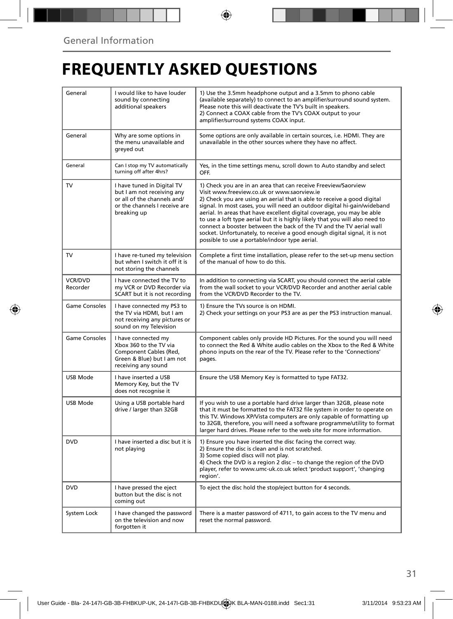## **FREQUENTLY ASKED QUESTIONS**

| General                    | I would like to have louder<br>sound by connecting<br>additional speakers                                                               | 1) Use the 3.5mm headphone output and a 3.5mm to phono cable<br>(available separately) to connect to an amplifier/surround sound system.<br>Please note this will deactivate the TV's built in speakers.<br>2) Connect a COAX cable from the TV's COAX output to your<br>amplifier/surround systems COAX input.                                                                                                                                                                                                                                                                                                                      |  |
|----------------------------|-----------------------------------------------------------------------------------------------------------------------------------------|--------------------------------------------------------------------------------------------------------------------------------------------------------------------------------------------------------------------------------------------------------------------------------------------------------------------------------------------------------------------------------------------------------------------------------------------------------------------------------------------------------------------------------------------------------------------------------------------------------------------------------------|--|
| General                    | Why are some options in<br>the menu unavailable and<br>greyed out                                                                       | Some options are only available in certain sources, i.e. HDMI. They are<br>unavailable in the other sources where they have no affect.                                                                                                                                                                                                                                                                                                                                                                                                                                                                                               |  |
| General                    | Can I stop my TV automatically<br>turning off after 4hrs?                                                                               | Yes, in the time settings menu, scroll down to Auto standby and select<br>OFF.                                                                                                                                                                                                                                                                                                                                                                                                                                                                                                                                                       |  |
| <b>TV</b>                  | I have tuned in Digital TV<br>but I am not receiving any<br>or all of the channels and/<br>or the channels I receive are<br>breaking up | 1) Check you are in an area that can receive Freeview/Saorview<br>Visit www.freeview.co.uk or www.saorview.ie<br>2) Check you are using an aerial that is able to receive a good digital<br>signal. In most cases, you will need an outdoor digital hi-gain/wideband<br>aerial. In areas that have excellent digital coverage, you may be able<br>to use a loft type aerial but it is highly likely that you will also need to<br>connect a booster between the back of the TV and the TV aerial wall<br>socket. Unfortunately, to receive a good enough digital signal, it is not<br>possible to use a portable/indoor type aerial. |  |
| <b>TV</b>                  | I have re-tuned my television<br>but when I switch it off it is<br>not storing the channels                                             | Complete a first time installation, please refer to the set-up menu section<br>of the manual of how to do this.                                                                                                                                                                                                                                                                                                                                                                                                                                                                                                                      |  |
| <b>VCR/DVD</b><br>Recorder | I have connected the TV to<br>my VCR or DVD Recorder via<br>SCART but it is not recording                                               | In addition to connecting via SCART, you should connect the aerial cable<br>from the wall socket to your VCR/DVD Recorder and another aerial cable<br>from the VCR/DVD Recorder to the TV.                                                                                                                                                                                                                                                                                                                                                                                                                                           |  |
| Game Consoles              | I have connected my PS3 to<br>the TV via HDMI, but I am<br>not receiving any pictures or<br>sound on my Television                      | 1) Ensure the TVs source is on HDMI.<br>2) Check your settings on your PS3 are as per the PS3 instruction manual.                                                                                                                                                                                                                                                                                                                                                                                                                                                                                                                    |  |
| <b>Game Consoles</b>       | I have connected my<br>Xbox 360 to the TV via<br>Component Cables (Red,<br>Green & Blue) but I am not<br>receiving any sound            | Component cables only provide HD Pictures. For the sound you will need<br>to connect the Red & White audio cables on the Xbox to the Red & White<br>phono inputs on the rear of the TV. Please refer to the 'Connections'<br>pages.                                                                                                                                                                                                                                                                                                                                                                                                  |  |
| USB Mode                   | I have inserted a USB<br>Memory Key, but the TV<br>does not recognise it                                                                | Ensure the USB Memory Key is formatted to type FAT32.                                                                                                                                                                                                                                                                                                                                                                                                                                                                                                                                                                                |  |
| <b>USB Mode</b>            | Using a USB portable hard<br>drive / larger than 32GB                                                                                   | If you wish to use a portable hard drive larger than 32GB, please note<br>that it must be formatted to the FAT32 file system in order to operate on<br>this TV. Windows XP/Vista computers are only capable of formatting up<br>to 32GB, therefore, you will need a software programme/utility to format<br>larger hard drives. Please refer to the web site for more information.                                                                                                                                                                                                                                                   |  |
| <b>DVD</b>                 | I have inserted a disc but it is<br>not playing                                                                                         | 1) Ensure you have inserted the disc facing the correct way.<br>2) Ensure the disc is clean and is not scratched.<br>3) Some copied discs will not play.<br>4) Check the DVD is a region 2 disc - to change the region of the DVD<br>player, refer to www.umc-uk.co.uk select 'product support', 'changing<br>region'.                                                                                                                                                                                                                                                                                                               |  |
| <b>DVD</b>                 | I have pressed the eject<br>button but the disc is not<br>coming out                                                                    | To eject the disc hold the stop/eject button for 4 seconds.                                                                                                                                                                                                                                                                                                                                                                                                                                                                                                                                                                          |  |
| System Lock                | I have changed the password<br>on the television and now<br>forgotten it                                                                | There is a master password of 4711, to gain access to the TV menu and<br>reset the normal password.                                                                                                                                                                                                                                                                                                                                                                                                                                                                                                                                  |  |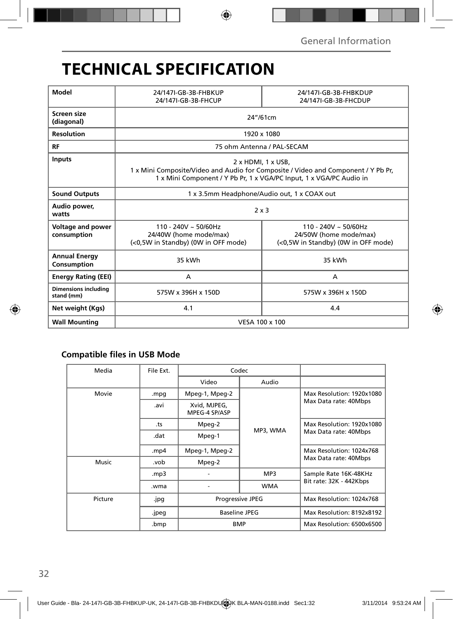## **TECHNICAL SPECIFICATION**

| Model                                     | 24/147I-GB-3B-FHBKUP<br>24/147I-GB-3B-FHCUP                                                                                                                                                  | 24/147I-GB-3B-FHBKDUP<br>24/147I-GB-3B-FHCDUP                                              |  |  |
|-------------------------------------------|----------------------------------------------------------------------------------------------------------------------------------------------------------------------------------------------|--------------------------------------------------------------------------------------------|--|--|
| Screen size<br>(diagonal)                 | 24"/61cm                                                                                                                                                                                     |                                                                                            |  |  |
| <b>Resolution</b>                         | 1920 x 1080                                                                                                                                                                                  |                                                                                            |  |  |
| <b>RF</b>                                 | 75 ohm Antenna / PAL-SECAM                                                                                                                                                                   |                                                                                            |  |  |
| <b>Inputs</b>                             | $2 \times$ HDMI, 1 $\times$ USB,<br>1 x Mini Composite/Video and Audio for Composite / Video and Component / Y Pb Pr,<br>1 x Mini Component / Y Pb Pr, 1 x VGA/PC Input, 1 x VGA/PC Audio in |                                                                                            |  |  |
| <b>Sound Outputs</b>                      | 1 x 3.5mm Headphone/Audio out, 1 x COAX out                                                                                                                                                  |                                                                                            |  |  |
| Audio power,<br>watts                     | $2 \times 3$                                                                                                                                                                                 |                                                                                            |  |  |
| Voltage and power<br>consumption          | $110 - 240V \approx 50/60Hz$<br>24/40W (home mode/max)<br>(<0,5W in Standby) (0W in OFF mode)                                                                                                | $110 - 240V \sim 50/60Hz$<br>24/50W (home mode/max)<br>(<0,5W in Standby) (0W in OFF mode) |  |  |
| <b>Annual Energy</b><br>Consumption       | 35 kWh                                                                                                                                                                                       | 35 kWh                                                                                     |  |  |
| <b>Energy Rating (EEI)</b>                | A                                                                                                                                                                                            | A                                                                                          |  |  |
| <b>Dimensions including</b><br>stand (mm) | 575W x 396H x 150D                                                                                                                                                                           | 575W x 396H x 150D                                                                         |  |  |
| Net weight (Kgs)                          | 4.1<br>4.4                                                                                                                                                                                   |                                                                                            |  |  |
| <b>Wall Mounting</b>                      | VESA 100 x 100                                                                                                                                                                               |                                                                                            |  |  |

### **Compatible files in USB Mode**

| Media   | File Ext.              | Codec                                                         |            |                                                    |
|---------|------------------------|---------------------------------------------------------------|------------|----------------------------------------------------|
|         |                        | Video                                                         | Audio      |                                                    |
| Movie   | Mpeg-1, Mpeg-2<br>.mpg |                                                               |            | Max Resolution: 1920x1080                          |
|         | .avi                   | Xvid, MJPEG,<br>MPEG-4 SP/ASP                                 |            | Max Data rate: 40Mbps                              |
|         | .ts                    | Mpeg-2                                                        |            | Max Resolution: 1920x1080<br>Max Data rate: 40Mbps |
|         | .dat                   | Mpeg-1                                                        | MP3, WMA   |                                                    |
|         | .mp4                   | Mpeg-1, Mpeg-2                                                |            | Max Resolution: 1024x768                           |
| Music   | .vob                   | Mpeg-2                                                        |            | Max Data rate: 40Mbps                              |
|         | .mp3                   |                                                               | MP3        | Sample Rate 16K-48KHz                              |
|         | .wma                   |                                                               | <b>WMA</b> | Bit rate: 32K - 442Kbps                            |
| Picture | .jpg                   | <b>Progressive JPEG</b><br><b>Baseline JPEG</b><br><b>BMP</b> |            | Max Resolution: 1024x768                           |
|         | .jpeg                  |                                                               |            | Max Resolution: 8192x8192                          |
|         | .bmp                   |                                                               |            | Max Resolution: 6500x6500                          |
|         |                        |                                                               |            |                                                    |